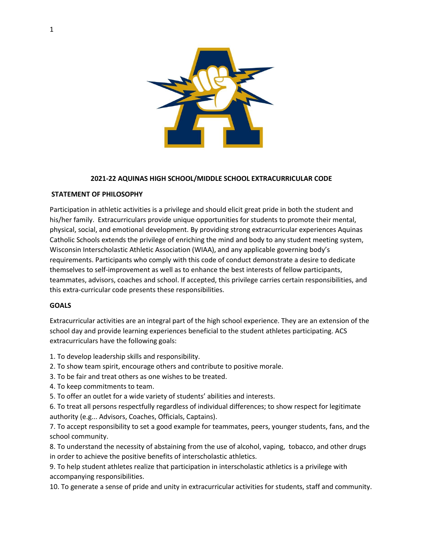

#### **2021-22 AQUINAS HIGH SCHOOL/MIDDLE SCHOOL EXTRACURRICULAR CODE**

#### **STATEMENT OF PHILOSOPHY**

Participation in athletic activities is a privilege and should elicit great pride in both the student and his/her family. Extracurriculars provide unique opportunities for students to promote their mental, physical, social, and emotional development. By providing strong extracurricular experiences Aquinas Catholic Schools extends the privilege of enriching the mind and body to any student meeting system, Wisconsin Interscholastic Athletic Association (WIAA), and any applicable governing body's requirements. Participants who comply with this code of conduct demonstrate a desire to dedicate themselves to self-improvement as well as to enhance the best interests of fellow participants, teammates, advisors, coaches and school. If accepted, this privilege carries certain responsibilities, and this extra-curricular code presents these responsibilities.

#### **GOALS**

Extracurricular activities are an integral part of the high school experience. They are an extension of the school day and provide learning experiences beneficial to the student athletes participating. ACS extracurriculars have the following goals:

- 1. To develop leadership skills and responsibility.
- 2. To show team spirit, encourage others and contribute to positive morale.
- 3. To be fair and treat others as one wishes to be treated.
- 4. To keep commitments to team.
- 5. To offer an outlet for a wide variety of students' abilities and interests.

6. To treat all persons respectfully regardless of individual differences; to show respect for legitimate authority (e.g... Advisors, Coaches, Officials, Captains).

7. To accept responsibility to set a good example for teammates, peers, younger students, fans, and the school community.

8. To understand the necessity of abstaining from the use of alcohol, vaping, tobacco, and other drugs in order to achieve the positive benefits of interscholastic athletics.

9. To help student athletes realize that participation in interscholastic athletics is a privilege with accompanying responsibilities.

10. To generate a sense of pride and unity in extracurricular activities for students, staff and community.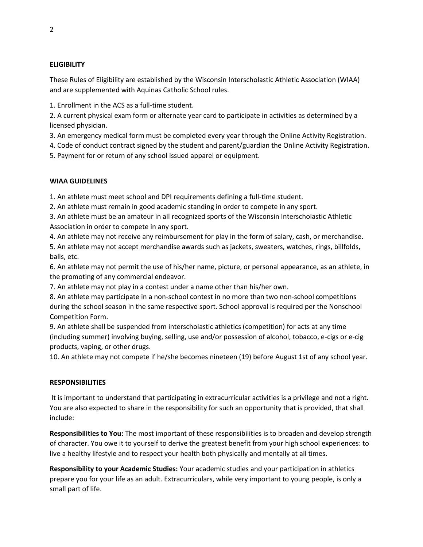## **ELIGIBILITY**

These Rules of Eligibility are established by the Wisconsin Interscholastic Athletic Association (WIAA) and are supplemented with Aquinas Catholic School rules.

1. Enrollment in the ACS as a full-time student.

2. A current physical exam form or alternate year card to participate in activities as determined by a licensed physician.

3. An emergency medical form must be completed every year through the Online Activity Registration.

4. Code of conduct contract signed by the student and parent/guardian the Online Activity Registration.

5. Payment for or return of any school issued apparel or equipment.

## **WIAA GUIDELINES**

1. An athlete must meet school and DPI requirements defining a full-time student.

2. An athlete must remain in good academic standing in order to compete in any sport.

3. An athlete must be an amateur in all recognized sports of the Wisconsin Interscholastic Athletic Association in order to compete in any sport.

4. An athlete may not receive any reimbursement for play in the form of salary, cash, or merchandise.

5. An athlete may not accept merchandise awards such as jackets, sweaters, watches, rings, billfolds, balls, etc.

6. An athlete may not permit the use of his/her name, picture, or personal appearance, as an athlete, in the promoting of any commercial endeavor.

7. An athlete may not play in a contest under a name other than his/her own.

8. An athlete may participate in a non-school contest in no more than two non-school competitions during the school season in the same respective sport. School approval is required per the Nonschool Competition Form.

9. An athlete shall be suspended from interscholastic athletics (competition) for acts at any time (including summer) involving buying, selling, use and/or possession of alcohol, tobacco, e-cigs or e-cig products, vaping, or other drugs.

10. An athlete may not compete if he/she becomes nineteen (19) before August 1st of any school year.

## **RESPONSIBILITIES**

It is important to understand that participating in extracurricular activities is a privilege and not a right. You are also expected to share in the responsibility for such an opportunity that is provided, that shall include:

**Responsibilities to You:** The most important of these responsibilities is to broaden and develop strength of character. You owe it to yourself to derive the greatest benefit from your high school experiences: to live a healthy lifestyle and to respect your health both physically and mentally at all times.

**Responsibility to your Academic Studies:** Your academic studies and your participation in athletics prepare you for your life as an adult. Extracurriculars, while very important to young people, is only a small part of life.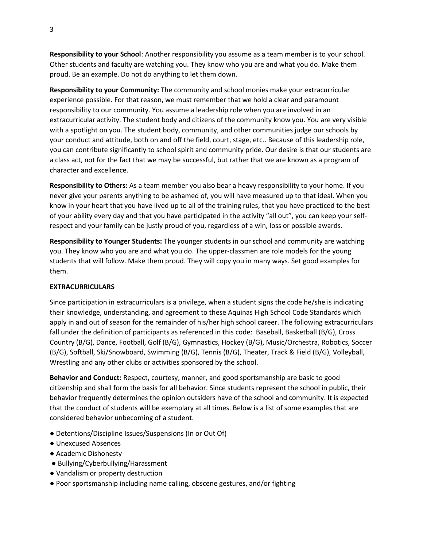**Responsibility to your School**: Another responsibility you assume as a team member is to your school. Other students and faculty are watching you. They know who you are and what you do. Make them proud. Be an example. Do not do anything to let them down.

**Responsibility to your Community:** The community and school monies make your extracurricular experience possible. For that reason, we must remember that we hold a clear and paramount responsibility to our community. You assume a leadership role when you are involved in an extracurricular activity. The student body and citizens of the community know you. You are very visible with a spotlight on you. The student body, community, and other communities judge our schools by your conduct and attitude, both on and off the field, court, stage, etc.. Because of this leadership role, you can contribute significantly to school spirit and community pride. Our desire is that our students are a class act, not for the fact that we may be successful, but rather that we are known as a program of character and excellence.

**Responsibility to Others:** As a team member you also bear a heavy responsibility to your home. If you never give your parents anything to be ashamed of, you will have measured up to that ideal. When you know in your heart that you have lived up to all of the training rules, that you have practiced to the best of your ability every day and that you have participated in the activity "all out", you can keep your selfrespect and your family can be justly proud of you, regardless of a win, loss or possible awards.

**Responsibility to Younger Students:** The younger students in our school and community are watching you. They know who you are and what you do. The upper-classmen are role models for the young students that will follow. Make them proud. They will copy you in many ways. Set good examples for them.

#### **EXTRACURRICULARS**

Since participation in extracurriculars is a privilege, when a student signs the code he/she is indicating their knowledge, understanding, and agreement to these Aquinas High School Code Standards which apply in and out of season for the remainder of his/her high school career. The following extracurriculars fall under the definition of participants as referenced in this code: Baseball, Basketball (B/G), Cross Country (B/G), Dance, Football, Golf (B/G), Gymnastics, Hockey (B/G), Music/Orchestra, Robotics, Soccer (B/G), Softball, Ski/Snowboard, Swimming (B/G), Tennis (B/G), Theater, Track & Field (B/G), Volleyball, Wrestling and any other clubs or activities sponsored by the school.

**Behavior and Conduct:** Respect, courtesy, manner, and good sportsmanship are basic to good citizenship and shall form the basis for all behavior. Since students represent the school in public, their behavior frequently determines the opinion outsiders have of the school and community. It is expected that the conduct of students will be exemplary at all times. Below is a list of some examples that are considered behavior unbecoming of a student.

- Detentions/Discipline Issues/Suspensions (In or Out Of)
- Unexcused Absences
- Academic Dishonesty
- Bullying/Cyberbullying/Harassment
- Vandalism or property destruction
- Poor sportsmanship including name calling, obscene gestures, and/or fighting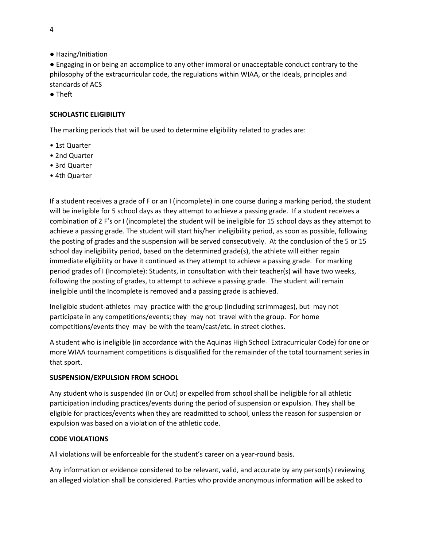● Hazing/Initiation

● Engaging in or being an accomplice to any other immoral or unacceptable conduct contrary to the philosophy of the extracurricular code, the regulations within WIAA, or the ideals, principles and standards of ACS

● Theft

## **SCHOLASTIC ELIGIBILITY**

The marking periods that will be used to determine eligibility related to grades are:

- 1st Quarter
- 2nd Quarter
- 3rd Quarter
- 4th Quarter

If a student receives a grade of F or an I (incomplete) in one course during a marking period, the student will be ineligible for 5 school days as they attempt to achieve a passing grade. If a student receives a combination of 2 F's or I (incomplete) the student will be ineligible for 15 school days as they attempt to achieve a passing grade. The student will start his/her ineligibility period, as soon as possible, following the posting of grades and the suspension will be served consecutively. At the conclusion of the 5 or 15 school day ineligibility period, based on the determined grade(s), the athlete will either regain immediate eligibility or have it continued as they attempt to achieve a passing grade. For marking period grades of I (Incomplete): Students, in consultation with their teacher(s) will have two weeks, following the posting of grades, to attempt to achieve a passing grade. The student will remain ineligible until the Incomplete is removed and a passing grade is achieved.

Ineligible student-athletes may practice with the group (including scrimmages), but may not participate in any competitions/events; they may not travel with the group. For home competitions/events they may be with the team/cast/etc. in street clothes.

A student who is ineligible (in accordance with the Aquinas High School Extracurricular Code) for one or more WIAA tournament competitions is disqualified for the remainder of the total tournament series in that sport.

## **SUSPENSION/EXPULSION FROM SCHOOL**

Any student who is suspended (In or Out) or expelled from school shall be ineligible for all athletic participation including practices/events during the period of suspension or expulsion. They shall be eligible for practices/events when they are readmitted to school, unless the reason for suspension or expulsion was based on a violation of the athletic code.

## **CODE VIOLATIONS**

All violations will be enforceable for the student's career on a year-round basis.

Any information or evidence considered to be relevant, valid, and accurate by any person(s) reviewing an alleged violation shall be considered. Parties who provide anonymous information will be asked to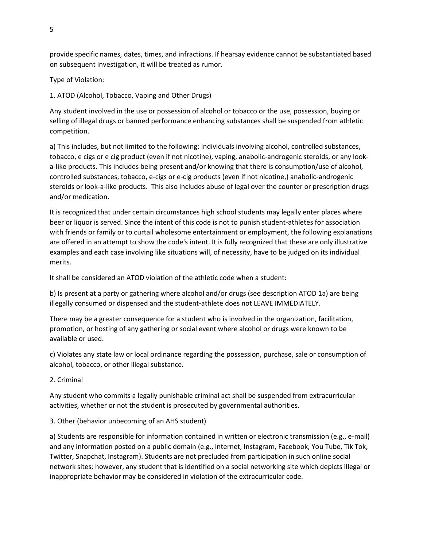provide specific names, dates, times, and infractions. If hearsay evidence cannot be substantiated based on subsequent investigation, it will be treated as rumor.

Type of Violation:

1. ATOD (Alcohol, Tobacco, Vaping and Other Drugs)

Any student involved in the use or possession of alcohol or tobacco or the use, possession, buying or selling of illegal drugs or banned performance enhancing substances shall be suspended from athletic competition.

a) This includes, but not limited to the following: Individuals involving alcohol, controlled substances, tobacco, e cigs or e cig product (even if not nicotine), vaping, anabolic-androgenic steroids, or any looka-like products. This includes being present and/or knowing that there is consumption/use of alcohol, controlled substances, tobacco, e-cigs or e-cig products (even if not nicotine,) anabolic-androgenic steroids or look-a-like products. This also includes abuse of legal over the counter or prescription drugs and/or medication.

It is recognized that under certain circumstances high school students may legally enter places where beer or liquor is served. Since the intent of this code is not to punish student-athletes for association with friends or family or to curtail wholesome entertainment or employment, the following explanations are offered in an attempt to show the code's intent. It is fully recognized that these are only illustrative examples and each case involving like situations will, of necessity, have to be judged on its individual merits.

It shall be considered an ATOD violation of the athletic code when a student:

b) Is present at a party or gathering where alcohol and/or drugs (see description ATOD 1a) are being illegally consumed or dispensed and the student-athlete does not LEAVE IMMEDIATELY.

There may be a greater consequence for a student who is involved in the organization, facilitation, promotion, or hosting of any gathering or social event where alcohol or drugs were known to be available or used.

c) Violates any state law or local ordinance regarding the possession, purchase, sale or consumption of alcohol, tobacco, or other illegal substance.

# 2. Criminal

Any student who commits a legally punishable criminal act shall be suspended from extracurricular activities, whether or not the student is prosecuted by governmental authorities.

3. Other (behavior unbecoming of an AHS student)

a) Students are responsible for information contained in written or electronic transmission (e.g., e-mail) and any information posted on a public domain (e.g., internet, Instagram, Facebook, You Tube, Tik Tok, Twitter, Snapchat, Instagram). Students are not precluded from participation in such online social network sites; however, any student that is identified on a social networking site which depicts illegal or inappropriate behavior may be considered in violation of the extracurricular code.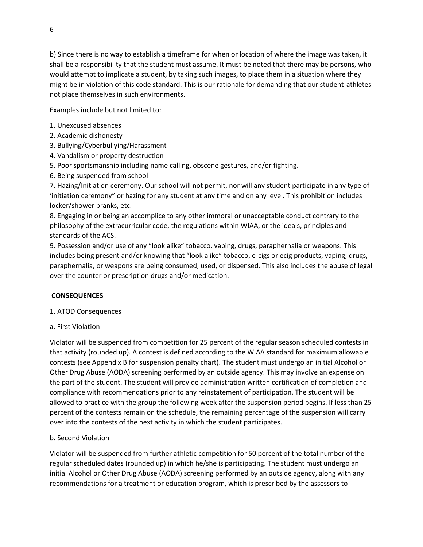b) Since there is no way to establish a timeframe for when or location of where the image was taken, it shall be a responsibility that the student must assume. It must be noted that there may be persons, who would attempt to implicate a student, by taking such images, to place them in a situation where they might be in violation of this code standard. This is our rationale for demanding that our student-athletes not place themselves in such environments.

Examples include but not limited to:

- 1. Unexcused absences
- 2. Academic dishonesty
- 3. Bullying/Cyberbullying/Harassment
- 4. Vandalism or property destruction
- 5. Poor sportsmanship including name calling, obscene gestures, and/or fighting.
- 6. Being suspended from school

7. Hazing/Initiation ceremony. Our school will not permit, nor will any student participate in any type of 'initiation ceremony" or hazing for any student at any time and on any level. This prohibition includes locker/shower pranks, etc.

8. Engaging in or being an accomplice to any other immoral or unacceptable conduct contrary to the philosophy of the extracurricular code, the regulations within WIAA, or the ideals, principles and standards of the ACS.

9. Possession and/or use of any "look alike" tobacco, vaping, drugs, paraphernalia or weapons. This includes being present and/or knowing that "look alike" tobacco, e-cigs or ecig products, vaping, drugs, paraphernalia, or weapons are being consumed, used, or dispensed. This also includes the abuse of legal over the counter or prescription drugs and/or medication.

## **CONSEQUENCES**

- 1. ATOD Consequences
- a. First Violation

Violator will be suspended from competition for 25 percent of the regular season scheduled contests in that activity (rounded up). A contest is defined according to the WIAA standard for maximum allowable contests (see Appendix B for suspension penalty chart). The student must undergo an initial Alcohol or Other Drug Abuse (AODA) screening performed by an outside agency. This may involve an expense on the part of the student. The student will provide administration written certification of completion and compliance with recommendations prior to any reinstatement of participation. The student will be allowed to practice with the group the following week after the suspension period begins. If less than 25 percent of the contests remain on the schedule, the remaining percentage of the suspension will carry over into the contests of the next activity in which the student participates.

## b. Second Violation

Violator will be suspended from further athletic competition for 50 percent of the total number of the regular scheduled dates (rounded up) in which he/she is participating. The student must undergo an initial Alcohol or Other Drug Abuse (AODA) screening performed by an outside agency, along with any recommendations for a treatment or education program, which is prescribed by the assessors to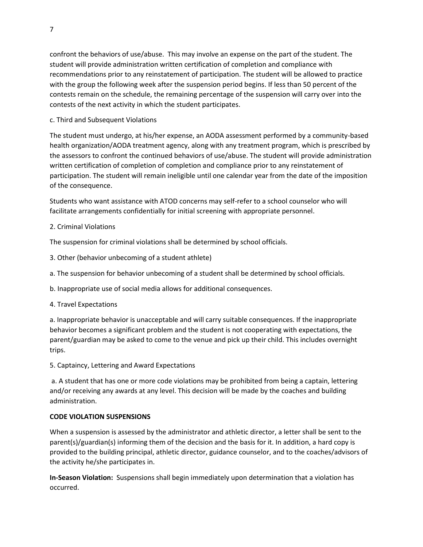confront the behaviors of use/abuse. This may involve an expense on the part of the student. The student will provide administration written certification of completion and compliance with recommendations prior to any reinstatement of participation. The student will be allowed to practice with the group the following week after the suspension period begins. If less than 50 percent of the contests remain on the schedule, the remaining percentage of the suspension will carry over into the contests of the next activity in which the student participates.

c. Third and Subsequent Violations

The student must undergo, at his/her expense, an AODA assessment performed by a community-based health organization/AODA treatment agency, along with any treatment program, which is prescribed by the assessors to confront the continued behaviors of use/abuse. The student will provide administration written certification of completion of completion and compliance prior to any reinstatement of participation. The student will remain ineligible until one calendar year from the date of the imposition of the consequence.

Students who want assistance with ATOD concerns may self-refer to a school counselor who will facilitate arrangements confidentially for initial screening with appropriate personnel.

## 2. Criminal Violations

The suspension for criminal violations shall be determined by school officials.

- 3. Other (behavior unbecoming of a student athlete)
- a. The suspension for behavior unbecoming of a student shall be determined by school officials.
- b. Inappropriate use of social media allows for additional consequences.
- 4. Travel Expectations

a. Inappropriate behavior is unacceptable and will carry suitable consequences. If the inappropriate behavior becomes a significant problem and the student is not cooperating with expectations, the parent/guardian may be asked to come to the venue and pick up their child. This includes overnight trips.

5. Captaincy, Lettering and Award Expectations

a. A student that has one or more code violations may be prohibited from being a captain, lettering and/or receiving any awards at any level. This decision will be made by the coaches and building administration.

## **CODE VIOLATION SUSPENSIONS**

When a suspension is assessed by the administrator and athletic director, a letter shall be sent to the parent(s)/guardian(s) informing them of the decision and the basis for it. In addition, a hard copy is provided to the building principal, athletic director, guidance counselor, and to the coaches/advisors of the activity he/she participates in.

**In-Season Violation:** Suspensions shall begin immediately upon determination that a violation has occurred.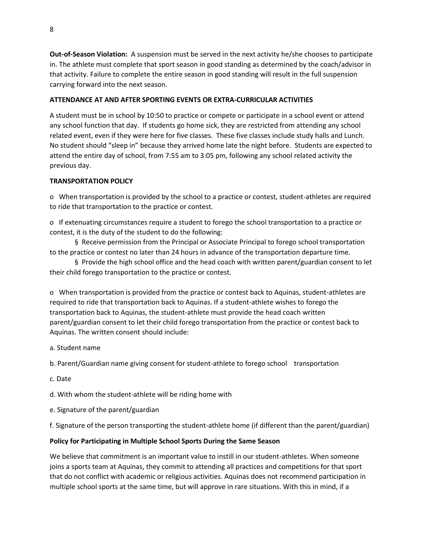**Out-of-Season Violation:** A suspension must be served in the next activity he/she chooses to participate in. The athlete must complete that sport season in good standing as determined by the coach/advisor in that activity. Failure to complete the entire season in good standing will result in the full suspension carrying forward into the next season.

# **ATTENDANCE AT AND AFTER SPORTING EVENTS OR EXTRA-CURRICULAR ACTIVITIES**

A student must be in school by 10:50 to practice or compete or participate in a school event or attend any school function that day. If students go home sick, they are restricted from attending any school related event, even if they were here for five classes. These five classes include study halls and Lunch. No student should "sleep in" because they arrived home late the night before. Students are expected to attend the entire day of school, from 7:55 am to 3:05 pm, following any school related activity the previous day.

## **TRANSPORTATION POLICY**

o When transportation is provided by the school to a practice or contest, student-athletes are required to ride that transportation to the practice or contest.

o If extenuating circumstances require a student to forego the school transportation to a practice or contest, it is the duty of the student to do the following:

§ Receive permission from the Principal or Associate Principal to forego school transportation to the practice or contest no later than 24 hours in advance of the transportation departure time.

§ Provide the high school office and the head coach with written parent/guardian consent to let their child forego transportation to the practice or contest.

o When transportation is provided from the practice or contest back to Aquinas, student-athletes are required to ride that transportation back to Aquinas. If a student-athlete wishes to forego the transportation back to Aquinas, the student-athlete must provide the head coach written parent/guardian consent to let their child forego transportation from the practice or contest back to Aquinas. The written consent should include:

a. Student name

b. Parent/Guardian name giving consent for student-athlete to forego school transportation

c. Date

d. With whom the student-athlete will be riding home with

e. Signature of the parent/guardian

f. Signature of the person transporting the student-athlete home (if different than the parent/guardian)

## **Policy for Participating in Multiple School Sports During the Same Season**

We believe that commitment is an important value to instill in our student-athletes. When someone joins a sports team at Aquinas, they commit to attending all practices and competitions for that sport that do not conflict with academic or religious activities. Aquinas does not recommend participation in multiple school sports at the same time, but will approve in rare situations. With this in mind, if a